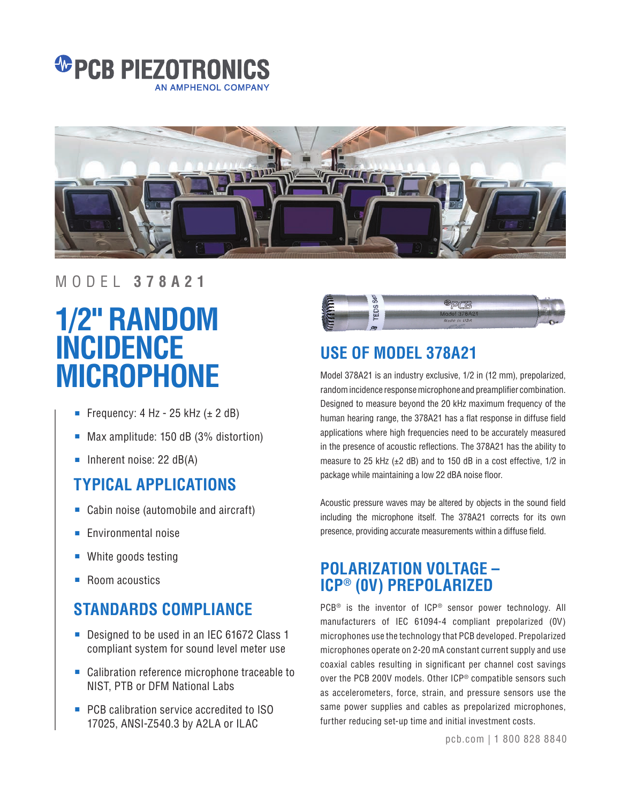



### MODEL **378A21**

# **1/2" RANDOM INCIDENCE MICROPHONE**

- Frequency: 4 Hz 25 kHz  $(\pm 2$  dB)
- Max amplitude: 150 dB (3% distortion)
- Inherent noise: 22 dB(A)

# **TYPICAL APPLICATIONS**

- Cabin noise (automobile and aircraft)
- Environmental noise
- White goods testing
- Room acoustics

# **STANDARDS COMPLIANCE**

- Designed to be used in an IEC 61672 Class 1 compliant system for sound level meter use
- Calibration reference microphone traceable to NIST, PTB or DFM National Labs
- PCB calibration service accredited to ISO 17025, ANSI-Z540.3 by A2LA or ILAC



# **USE OF MODEL 378A21**

Model 378A21 is an industry exclusive, 1/2 in (12 mm), prepolarized, random incidence response microphone and preamplifier combination. Designed to measure beyond the 20 kHz maximum frequency of the human hearing range, the 378A21 has a flat response in diffuse field applications where high frequencies need to be accurately measured in the presence of acoustic reflections. The 378A21 has the ability to measure to 25 kHz (±2 dB) and to 150 dB in a cost effective, 1/2 in package while maintaining a low 22 dBA noise floor.

Acoustic pressure waves may be altered by objects in the sound field including the microphone itself. The 378A21 corrects for its own presence, providing accurate measurements within a diffuse field.

## **POLARIZATION VOLTAGE – ICP® (0V) PREPOLARIZED**

PCB® is the inventor of ICP® sensor power technology. All manufacturers of IEC 61094-4 compliant prepolarized (0V) microphones use the technology that PCB developed. Prepolarized microphones operate on 2-20 mA constant current supply and use coaxial cables resulting in significant per channel cost savings over the PCB 200V models. Other ICP® compatible sensors such as accelerometers, force, strain, and pressure sensors use the same power supplies and cables as prepolarized microphones, further reducing set-up time and initial investment costs.